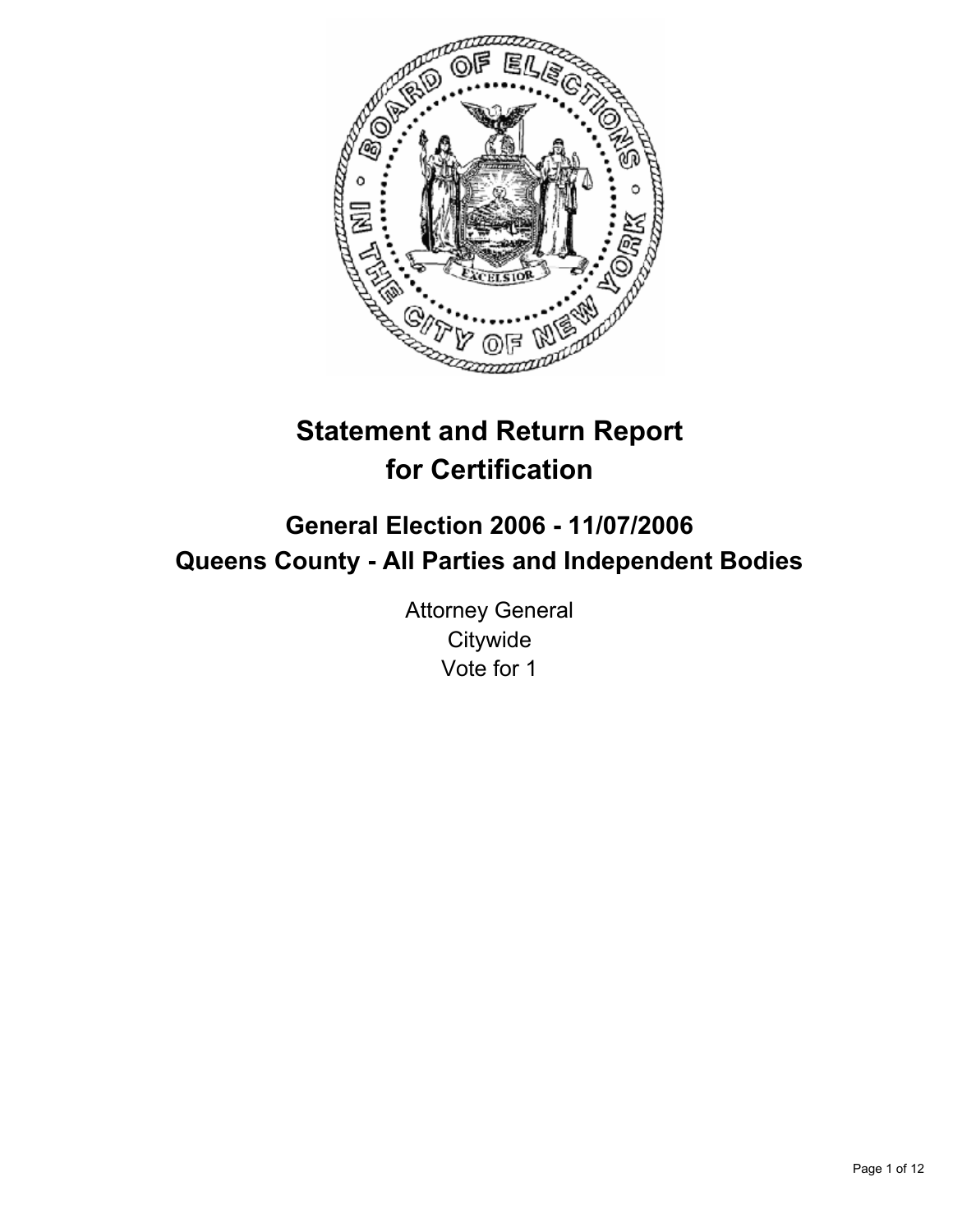

# **Statement and Return Report for Certification**

# **General Election 2006 - 11/07/2006 Queens County - All Parties and Independent Bodies**

Attorney General **Citywide** Vote for 1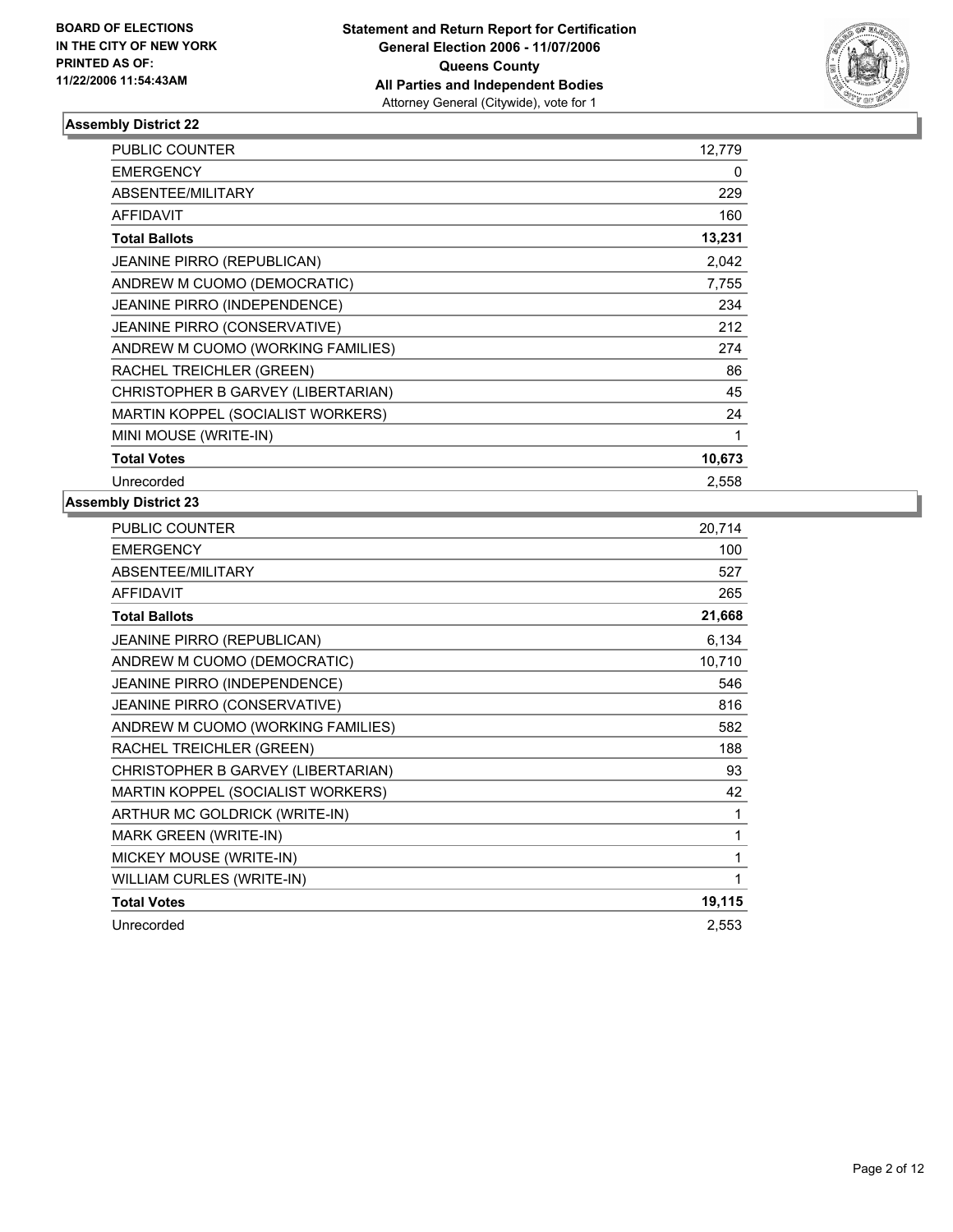

| PUBLIC COUNTER                      | 12,779 |
|-------------------------------------|--------|
| <b>EMERGENCY</b>                    | 0      |
| <b>ABSENTEE/MILITARY</b>            | 229    |
| <b>AFFIDAVIT</b>                    | 160    |
| <b>Total Ballots</b>                | 13,231 |
| <b>JEANINE PIRRO (REPUBLICAN)</b>   | 2,042  |
| ANDREW M CUOMO (DEMOCRATIC)         | 7,755  |
| JEANINE PIRRO (INDEPENDENCE)        | 234    |
| <b>JEANINE PIRRO (CONSERVATIVE)</b> | 212    |
| ANDREW M CUOMO (WORKING FAMILIES)   | 274    |
| RACHEL TREICHLER (GREEN)            | 86     |
| CHRISTOPHER B GARVEY (LIBERTARIAN)  | 45     |
| MARTIN KOPPEL (SOCIALIST WORKERS)   | 24     |
| MINI MOUSE (WRITE-IN)               |        |
| <b>Total Votes</b>                  | 10,673 |
| Unrecorded                          | 2,558  |

| <b>PUBLIC COUNTER</b>              | 20,714 |
|------------------------------------|--------|
| <b>EMERGENCY</b>                   | 100    |
| ABSENTEE/MILITARY                  | 527    |
| <b>AFFIDAVIT</b>                   | 265    |
| <b>Total Ballots</b>               | 21,668 |
| <b>JEANINE PIRRO (REPUBLICAN)</b>  | 6,134  |
| ANDREW M CUOMO (DEMOCRATIC)        | 10,710 |
| JEANINE PIRRO (INDEPENDENCE)       | 546    |
| JEANINE PIRRO (CONSERVATIVE)       | 816    |
| ANDREW M CUOMO (WORKING FAMILIES)  | 582    |
| RACHEL TREICHLER (GREEN)           | 188    |
| CHRISTOPHER B GARVEY (LIBERTARIAN) | 93     |
| MARTIN KOPPEL (SOCIALIST WORKERS)  | 42     |
| ARTHUR MC GOLDRICK (WRITE-IN)      | 1      |
| <b>MARK GREEN (WRITE-IN)</b>       |        |
| MICKEY MOUSE (WRITE-IN)            |        |
| WILLIAM CURLES (WRITE-IN)          |        |
| <b>Total Votes</b>                 | 19,115 |
| Unrecorded                         | 2,553  |
|                                    |        |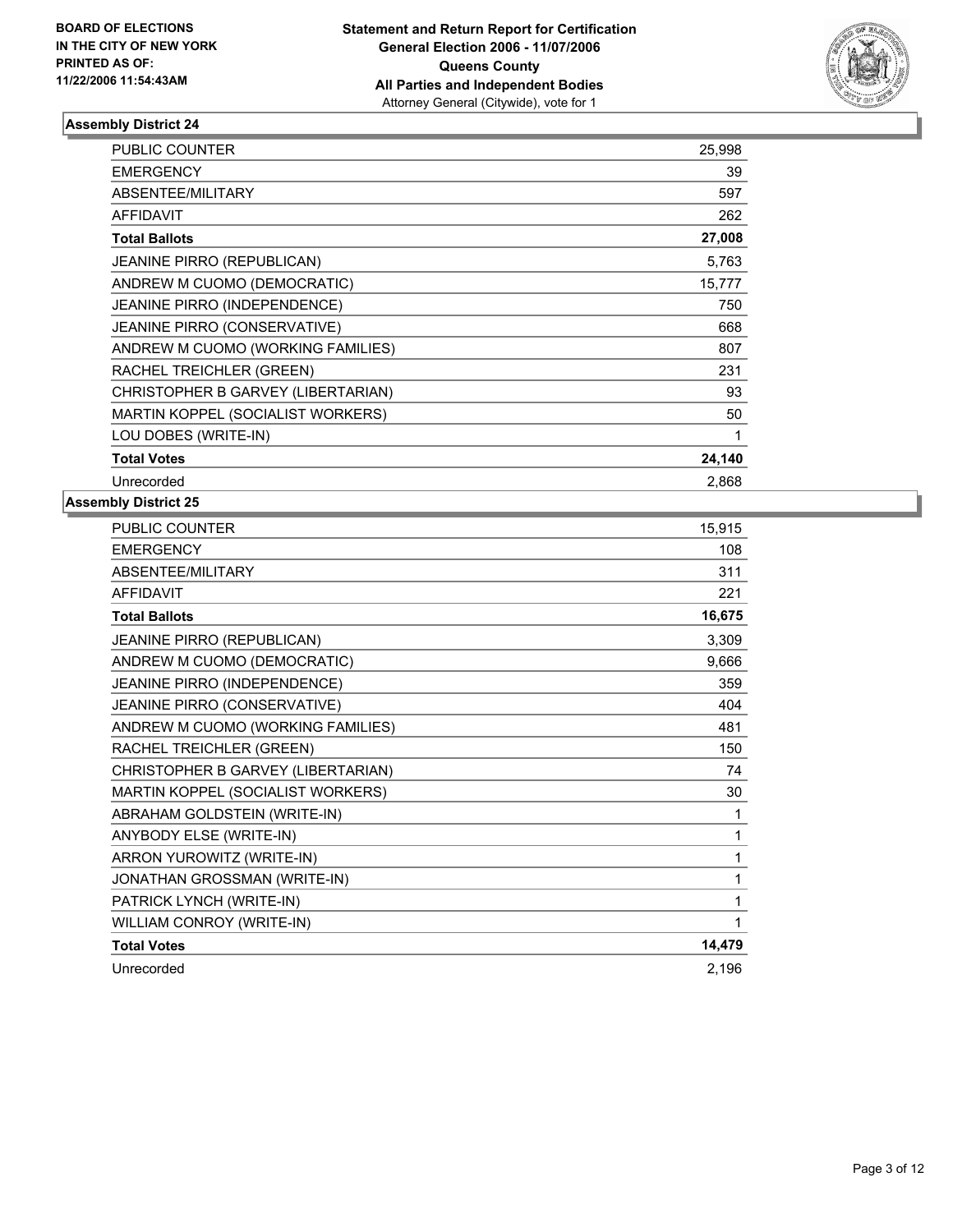

| PUBLIC COUNTER                      | 25,998 |  |
|-------------------------------------|--------|--|
| <b>EMERGENCY</b>                    | 39     |  |
| <b>ABSENTEE/MILITARY</b>            | 597    |  |
| <b>AFFIDAVIT</b>                    | 262    |  |
| <b>Total Ballots</b>                | 27,008 |  |
| <b>JEANINE PIRRO (REPUBLICAN)</b>   | 5,763  |  |
| ANDREW M CUOMO (DEMOCRATIC)         | 15,777 |  |
| JEANINE PIRRO (INDEPENDENCE)        | 750    |  |
| <b>JEANINE PIRRO (CONSERVATIVE)</b> | 668    |  |
| ANDREW M CUOMO (WORKING FAMILIES)   | 807    |  |
| RACHEL TREICHLER (GREEN)            | 231    |  |
| CHRISTOPHER B GARVEY (LIBERTARIAN)  | 93     |  |
| MARTIN KOPPEL (SOCIALIST WORKERS)   | 50     |  |
| LOU DOBES (WRITE-IN)                |        |  |
| <b>Total Votes</b>                  | 24,140 |  |
| Unrecorded                          | 2,868  |  |

| PUBLIC COUNTER                     | 15,915 |
|------------------------------------|--------|
| <b>EMERGENCY</b>                   | 108    |
| ABSENTEE/MILITARY                  | 311    |
| <b>AFFIDAVIT</b>                   | 221    |
| <b>Total Ballots</b>               | 16,675 |
| JEANINE PIRRO (REPUBLICAN)         | 3,309  |
| ANDREW M CUOMO (DEMOCRATIC)        | 9,666  |
| JEANINE PIRRO (INDEPENDENCE)       | 359    |
| JEANINE PIRRO (CONSERVATIVE)       | 404    |
| ANDREW M CUOMO (WORKING FAMILIES)  | 481    |
| RACHEL TREICHLER (GREEN)           | 150    |
| CHRISTOPHER B GARVEY (LIBERTARIAN) | 74     |
| MARTIN KOPPEL (SOCIALIST WORKERS)  | 30     |
| ABRAHAM GOLDSTEIN (WRITE-IN)       | 1      |
| ANYBODY ELSE (WRITE-IN)            | 1      |
| ARRON YUROWITZ (WRITE-IN)          |        |
| JONATHAN GROSSMAN (WRITE-IN)       | 1      |
| PATRICK LYNCH (WRITE-IN)           |        |
| WILLIAM CONROY (WRITE-IN)          | 1      |
| <b>Total Votes</b>                 | 14,479 |
| Unrecorded                         | 2,196  |
|                                    |        |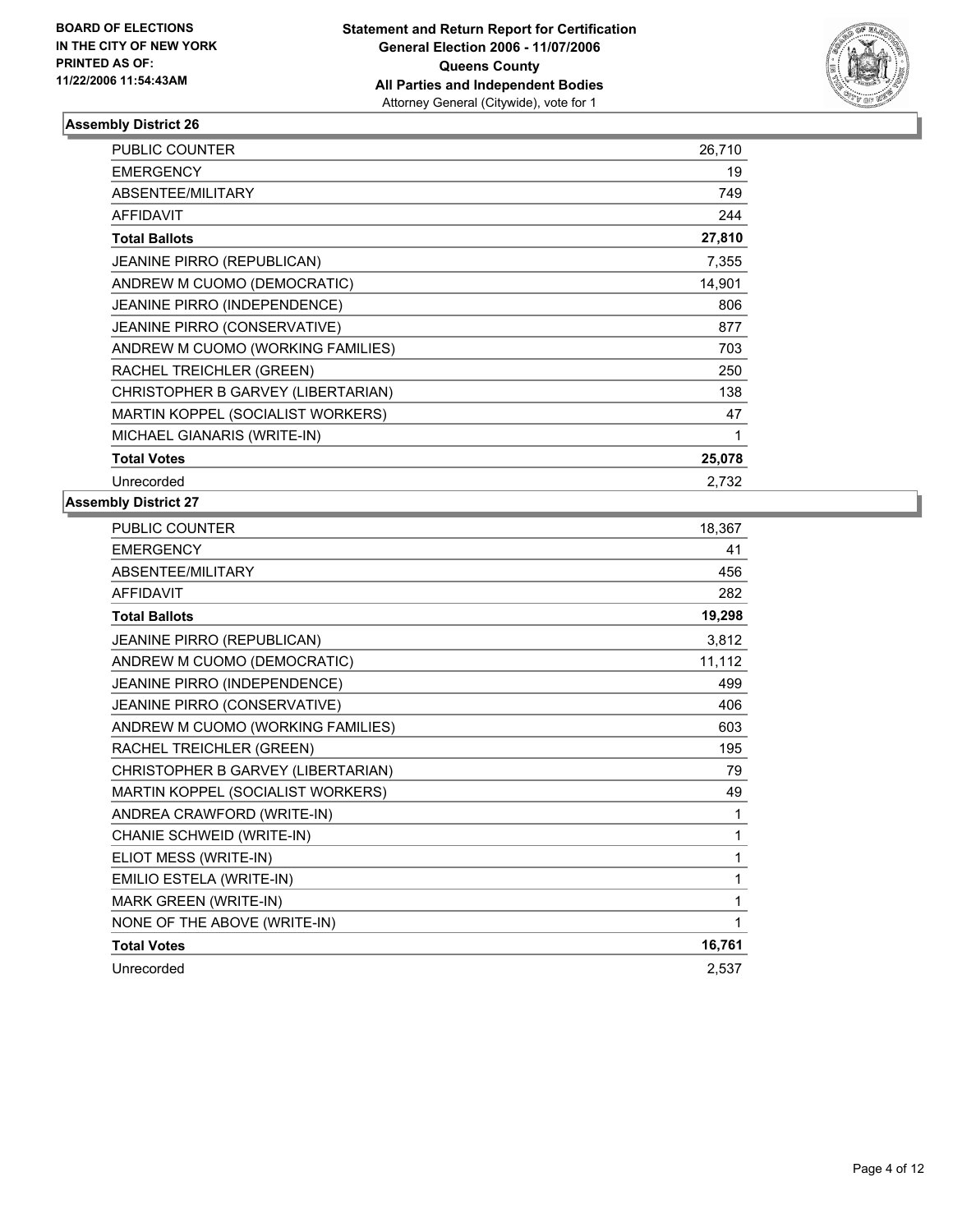

| PUBLIC COUNTER                      | 26,710 |
|-------------------------------------|--------|
| <b>EMERGENCY</b>                    | 19     |
| <b>ABSENTEE/MILITARY</b>            | 749    |
| <b>AFFIDAVIT</b>                    | 244    |
| <b>Total Ballots</b>                | 27,810 |
| <b>JEANINE PIRRO (REPUBLICAN)</b>   | 7,355  |
| ANDREW M CUOMO (DEMOCRATIC)         | 14,901 |
| JEANINE PIRRO (INDEPENDENCE)        | 806    |
| <b>JEANINE PIRRO (CONSERVATIVE)</b> | 877    |
| ANDREW M CUOMO (WORKING FAMILIES)   | 703    |
| RACHEL TREICHLER (GREEN)            | 250    |
| CHRISTOPHER B GARVEY (LIBERTARIAN)  | 138    |
| MARTIN KOPPEL (SOCIALIST WORKERS)   | 47     |
| MICHAEL GIANARIS (WRITE-IN)         |        |
| <b>Total Votes</b>                  | 25,078 |
| Unrecorded                          | 2,732  |

| PUBLIC COUNTER                     | 18,367 |
|------------------------------------|--------|
| <b>EMERGENCY</b>                   | 41     |
| ABSENTEE/MILITARY                  | 456    |
| <b>AFFIDAVIT</b>                   | 282    |
| <b>Total Ballots</b>               | 19,298 |
| JEANINE PIRRO (REPUBLICAN)         | 3,812  |
| ANDREW M CUOMO (DEMOCRATIC)        | 11,112 |
| JEANINE PIRRO (INDEPENDENCE)       | 499    |
| JEANINE PIRRO (CONSERVATIVE)       | 406    |
| ANDREW M CUOMO (WORKING FAMILIES)  | 603    |
| RACHEL TREICHLER (GREEN)           | 195    |
| CHRISTOPHER B GARVEY (LIBERTARIAN) | 79     |
| MARTIN KOPPEL (SOCIALIST WORKERS)  | 49     |
| ANDREA CRAWFORD (WRITE-IN)         | 1      |
| CHANIE SCHWEID (WRITE-IN)          | 1      |
| ELIOT MESS (WRITE-IN)              |        |
| EMILIO ESTELA (WRITE-IN)           | 1      |
| <b>MARK GREEN (WRITE-IN)</b>       |        |
| NONE OF THE ABOVE (WRITE-IN)       |        |
| <b>Total Votes</b>                 | 16,761 |
| Unrecorded                         | 2,537  |
|                                    |        |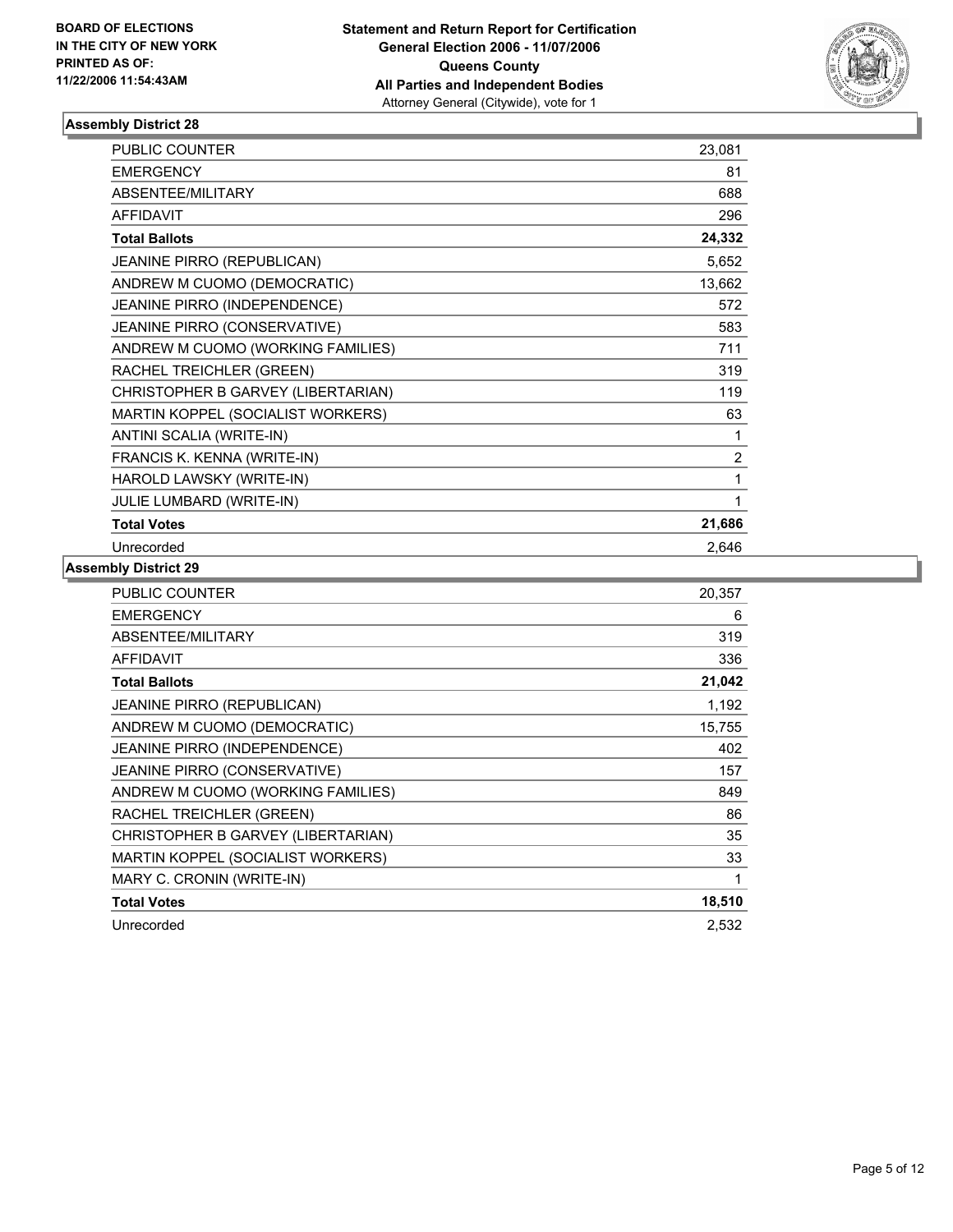

| PUBLIC COUNTER                     | 23,081         |
|------------------------------------|----------------|
| <b>EMERGENCY</b>                   | 81             |
| ABSENTEE/MILITARY                  | 688            |
| <b>AFFIDAVIT</b>                   | 296            |
| <b>Total Ballots</b>               | 24,332         |
| <b>JEANINE PIRRO (REPUBLICAN)</b>  | 5,652          |
| ANDREW M CUOMO (DEMOCRATIC)        | 13,662         |
| JEANINE PIRRO (INDEPENDENCE)       | 572            |
| JEANINE PIRRO (CONSERVATIVE)       | 583            |
| ANDREW M CUOMO (WORKING FAMILIES)  | 711            |
| RACHEL TREICHLER (GREEN)           | 319            |
| CHRISTOPHER B GARVEY (LIBERTARIAN) | 119            |
| MARTIN KOPPEL (SOCIALIST WORKERS)  | 63             |
| ANTINI SCALIA (WRITE-IN)           |                |
| FRANCIS K. KENNA (WRITE-IN)        | $\overline{2}$ |
| HAROLD LAWSKY (WRITE-IN)           |                |
| <b>JULIE LUMBARD (WRITE-IN)</b>    |                |
| <b>Total Votes</b>                 | 21,686         |
| Unrecorded                         | 2,646          |

| PUBLIC COUNTER                     | 20,357 |
|------------------------------------|--------|
| <b>EMERGENCY</b>                   | 6      |
| ABSENTEE/MILITARY                  | 319    |
| <b>AFFIDAVIT</b>                   | 336    |
| <b>Total Ballots</b>               | 21,042 |
| <b>JEANINE PIRRO (REPUBLICAN)</b>  | 1,192  |
| ANDREW M CUOMO (DEMOCRATIC)        | 15,755 |
| JEANINE PIRRO (INDEPENDENCE)       | 402    |
| JEANINE PIRRO (CONSERVATIVE)       | 157    |
| ANDREW M CUOMO (WORKING FAMILIES)  | 849    |
| RACHEL TREICHLER (GREEN)           | 86     |
| CHRISTOPHER B GARVEY (LIBERTARIAN) | 35     |
| MARTIN KOPPEL (SOCIALIST WORKERS)  | 33     |
| MARY C. CRONIN (WRITE-IN)          |        |
| <b>Total Votes</b>                 | 18,510 |
| Unrecorded                         | 2,532  |
|                                    |        |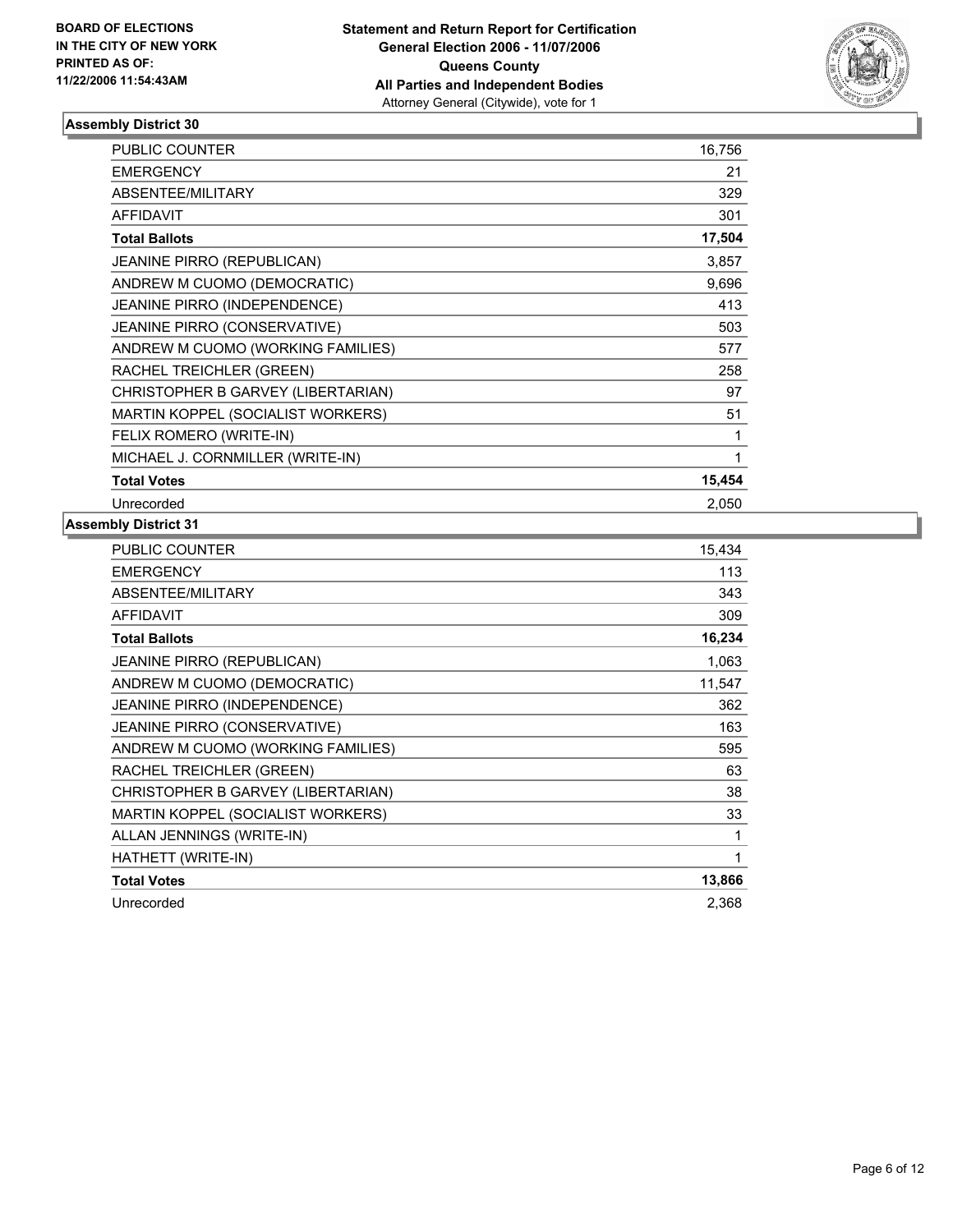

| PUBLIC COUNTER                      | 16,756 |
|-------------------------------------|--------|
| <b>EMERGENCY</b>                    | 21     |
| ABSENTEE/MILITARY                   | 329    |
| <b>AFFIDAVIT</b>                    | 301    |
| <b>Total Ballots</b>                | 17,504 |
| <b>JEANINE PIRRO (REPUBLICAN)</b>   | 3,857  |
| ANDREW M CUOMO (DEMOCRATIC)         | 9,696  |
| JEANINE PIRRO (INDEPENDENCE)        | 413    |
| <b>JEANINE PIRRO (CONSERVATIVE)</b> | 503    |
| ANDREW M CUOMO (WORKING FAMILIES)   | 577    |
| RACHEL TREICHLER (GREEN)            | 258    |
| CHRISTOPHER B GARVEY (LIBERTARIAN)  | 97     |
| MARTIN KOPPEL (SOCIALIST WORKERS)   | 51     |
| FELIX ROMERO (WRITE-IN)             |        |
| MICHAEL J. CORNMILLER (WRITE-IN)    |        |
| <b>Total Votes</b>                  | 15,454 |
| Unrecorded                          | 2,050  |

| PUBLIC COUNTER                      | 15,434 |
|-------------------------------------|--------|
| <b>EMERGENCY</b>                    | 113    |
| ABSENTEE/MILITARY                   | 343    |
| <b>AFFIDAVIT</b>                    | 309    |
| <b>Total Ballots</b>                | 16,234 |
| <b>JEANINE PIRRO (REPUBLICAN)</b>   | 1,063  |
| ANDREW M CUOMO (DEMOCRATIC)         | 11,547 |
| <b>JEANINE PIRRO (INDEPENDENCE)</b> | 362    |
| JEANINE PIRRO (CONSERVATIVE)        | 163    |
| ANDREW M CUOMO (WORKING FAMILIES)   | 595    |
| RACHEL TREICHLER (GREEN)            | 63     |
| CHRISTOPHER B GARVEY (LIBERTARIAN)  | 38     |
| MARTIN KOPPEL (SOCIALIST WORKERS)   | 33     |
| ALLAN JENNINGS (WRITE-IN)           |        |
| HATHETT (WRITE-IN)                  | 1      |
| <b>Total Votes</b>                  | 13,866 |
| Unrecorded                          | 2,368  |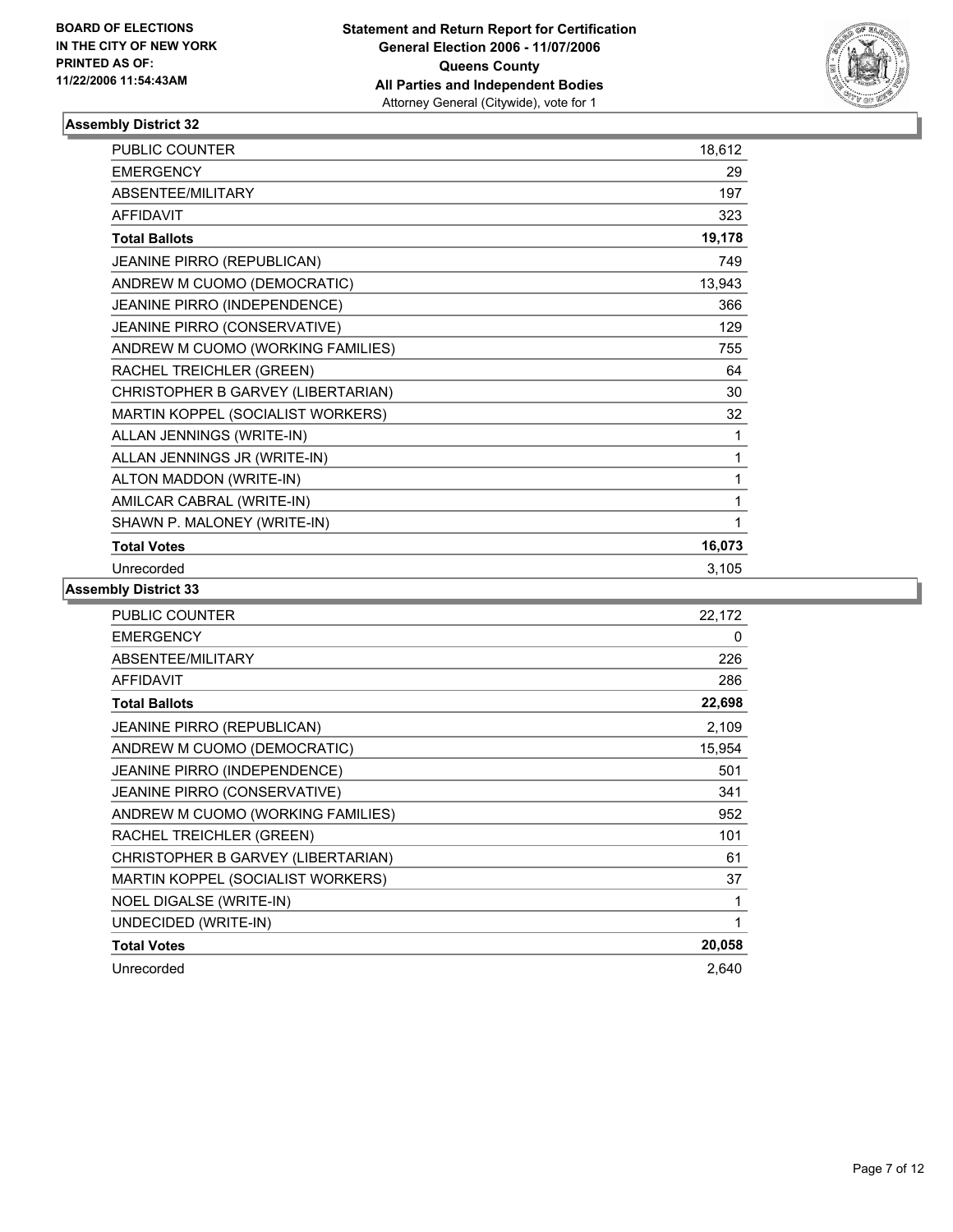

| <b>PUBLIC COUNTER</b>              | 18,612 |
|------------------------------------|--------|
| <b>EMERGENCY</b>                   | 29     |
| ABSENTEE/MILITARY                  | 197    |
| <b>AFFIDAVIT</b>                   | 323    |
| <b>Total Ballots</b>               | 19,178 |
| JEANINE PIRRO (REPUBLICAN)         | 749    |
| ANDREW M CUOMO (DEMOCRATIC)        | 13,943 |
| JEANINE PIRRO (INDEPENDENCE)       | 366    |
| JEANINE PIRRO (CONSERVATIVE)       | 129    |
| ANDREW M CUOMO (WORKING FAMILIES)  | 755    |
| RACHEL TREICHLER (GREEN)           | 64     |
| CHRISTOPHER B GARVEY (LIBERTARIAN) | 30     |
| MARTIN KOPPEL (SOCIALIST WORKERS)  | 32     |
| ALLAN JENNINGS (WRITE-IN)          | 1      |
| ALLAN JENNINGS JR (WRITE-IN)       | 1      |
| ALTON MADDON (WRITE-IN)            |        |
| AMILCAR CABRAL (WRITE-IN)          |        |
| SHAWN P. MALONEY (WRITE-IN)        |        |
| <b>Total Votes</b>                 | 16,073 |
| Unrecorded                         | 3,105  |

| <b>PUBLIC COUNTER</b>              | 22,172 |
|------------------------------------|--------|
| <b>EMERGENCY</b>                   | 0      |
| ABSENTEE/MILITARY                  | 226    |
| <b>AFFIDAVIT</b>                   | 286    |
| <b>Total Ballots</b>               | 22,698 |
| <b>JEANINE PIRRO (REPUBLICAN)</b>  | 2,109  |
| ANDREW M CUOMO (DEMOCRATIC)        | 15,954 |
| JEANINE PIRRO (INDEPENDENCE)       | 501    |
| JEANINE PIRRO (CONSERVATIVE)       | 341    |
| ANDREW M CUOMO (WORKING FAMILIES)  | 952    |
| RACHEL TREICHLER (GREEN)           | 101    |
| CHRISTOPHER B GARVEY (LIBERTARIAN) | 61     |
| MARTIN KOPPEL (SOCIALIST WORKERS)  | 37     |
| NOEL DIGALSE (WRITE-IN)            |        |
| UNDECIDED (WRITE-IN)               |        |
| <b>Total Votes</b>                 | 20,058 |
| Unrecorded                         | 2,640  |
|                                    |        |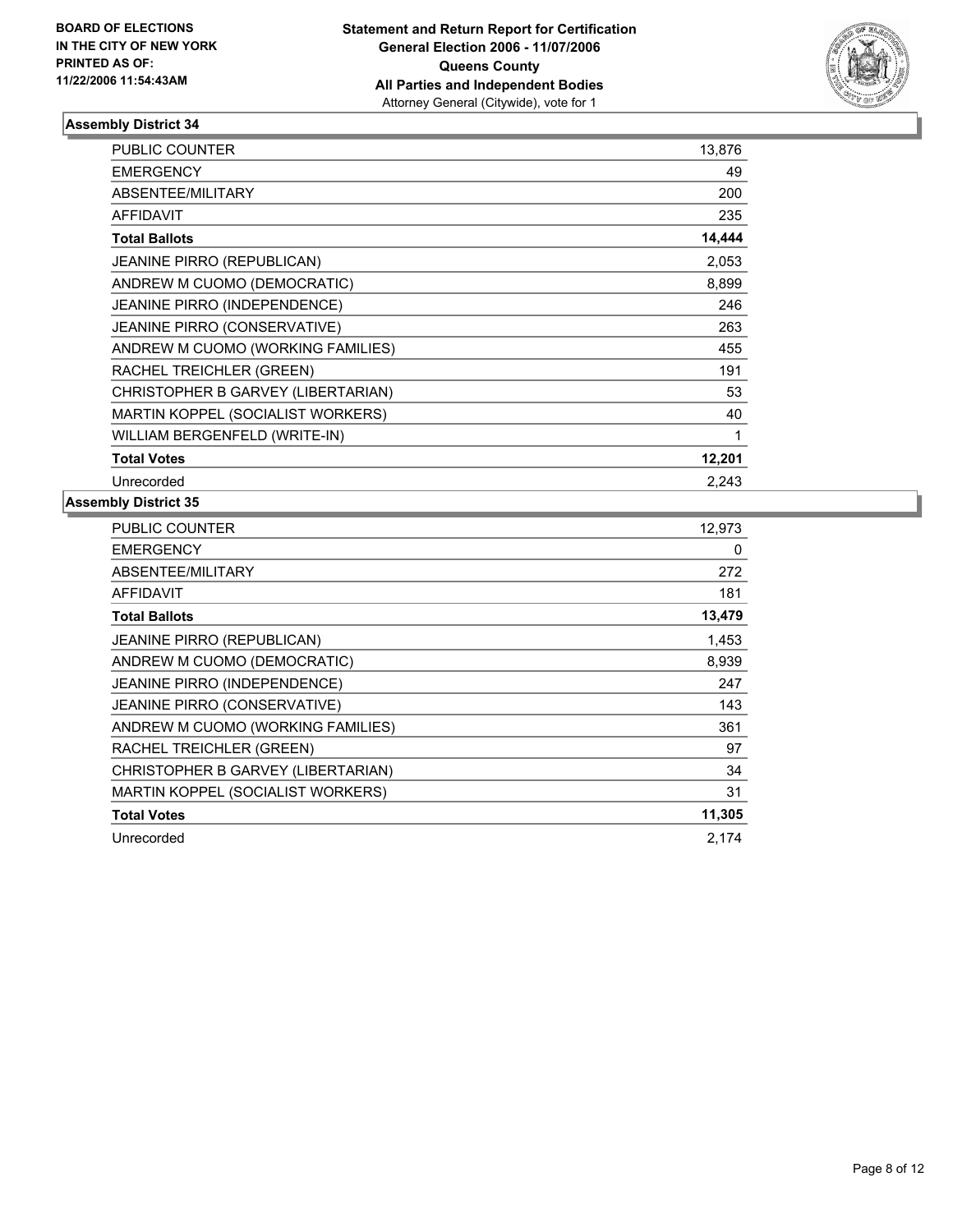

| <b>PUBLIC COUNTER</b>               | 13,876 |  |
|-------------------------------------|--------|--|
| <b>EMERGENCY</b>                    | 49     |  |
| ABSENTEE/MILITARY                   | 200    |  |
| <b>AFFIDAVIT</b>                    | 235    |  |
| <b>Total Ballots</b>                | 14,444 |  |
| <b>JEANINE PIRRO (REPUBLICAN)</b>   | 2,053  |  |
| ANDREW M CUOMO (DEMOCRATIC)         | 8,899  |  |
| JEANINE PIRRO (INDEPENDENCE)        | 246    |  |
| <b>JEANINE PIRRO (CONSERVATIVE)</b> | 263    |  |
| ANDREW M CUOMO (WORKING FAMILIES)   | 455    |  |
| RACHEL TREICHLER (GREEN)            | 191    |  |
| CHRISTOPHER B GARVEY (LIBERTARIAN)  | 53     |  |
| MARTIN KOPPEL (SOCIALIST WORKERS)   | 40     |  |
| WILLIAM BERGENFELD (WRITE-IN)       |        |  |
| <b>Total Votes</b>                  | 12,201 |  |
| Unrecorded                          | 2.243  |  |

| PUBLIC COUNTER                      | 12,973 |
|-------------------------------------|--------|
| <b>EMERGENCY</b>                    | 0      |
| ABSENTEE/MILITARY                   | 272    |
| <b>AFFIDAVIT</b>                    | 181    |
| <b>Total Ballots</b>                | 13,479 |
| JEANINE PIRRO (REPUBLICAN)          | 1,453  |
| ANDREW M CUOMO (DEMOCRATIC)         | 8,939  |
| JEANINE PIRRO (INDEPENDENCE)        | 247    |
| <b>JEANINE PIRRO (CONSERVATIVE)</b> | 143    |
| ANDREW M CUOMO (WORKING FAMILIES)   | 361    |
| RACHEL TREICHLER (GREEN)            | 97     |
| CHRISTOPHER B GARVEY (LIBERTARIAN)  | 34     |
| MARTIN KOPPEL (SOCIALIST WORKERS)   | 31     |
| <b>Total Votes</b>                  | 11,305 |
| Unrecorded                          | 2.174  |
|                                     |        |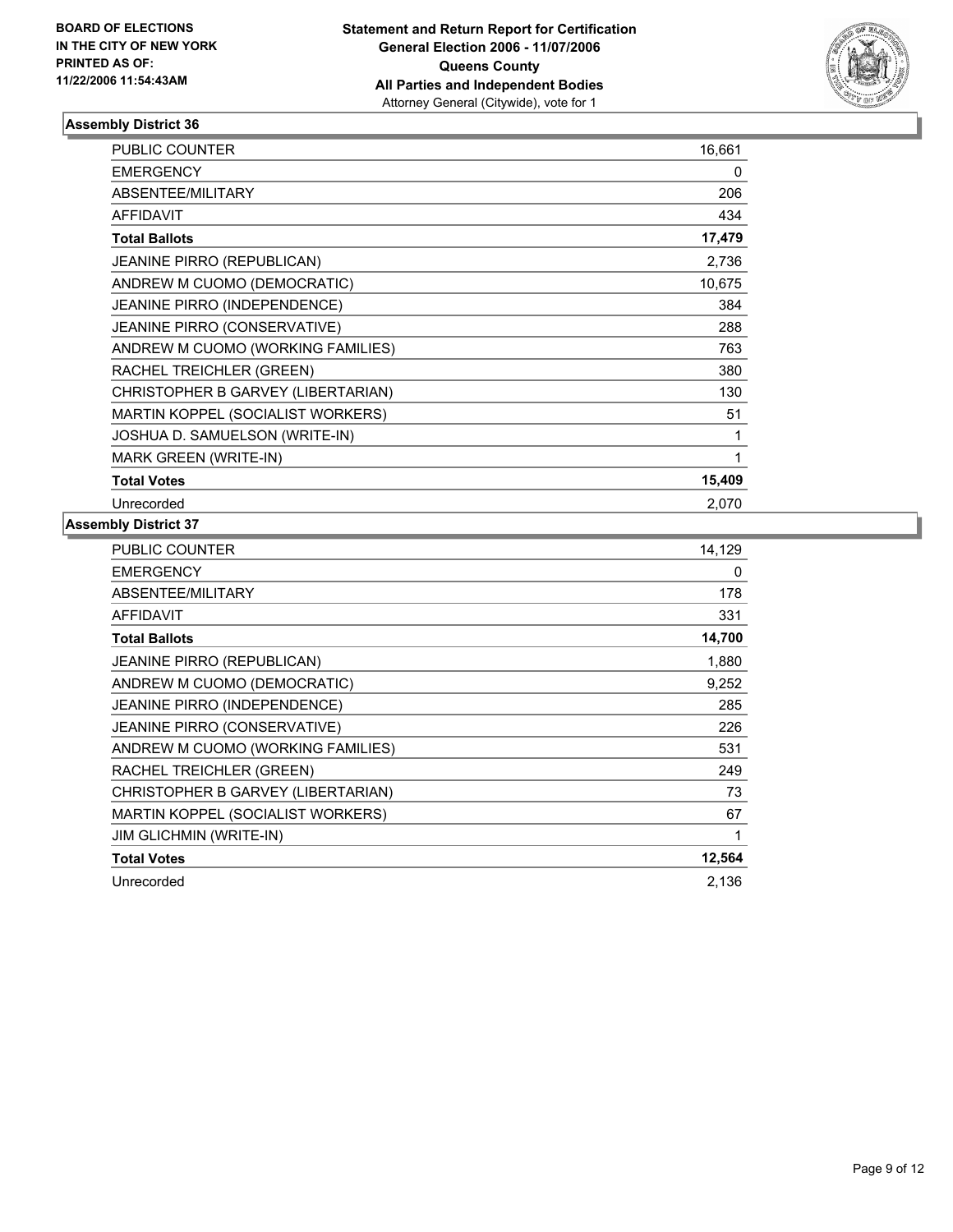

| <b>PUBLIC COUNTER</b>               | 16,661 |
|-------------------------------------|--------|
| <b>EMERGENCY</b>                    | 0      |
| ABSENTEE/MILITARY                   | 206    |
| <b>AFFIDAVIT</b>                    | 434    |
| <b>Total Ballots</b>                | 17,479 |
| <b>JEANINE PIRRO (REPUBLICAN)</b>   | 2,736  |
| ANDREW M CUOMO (DEMOCRATIC)         | 10,675 |
| JEANINE PIRRO (INDEPENDENCE)        | 384    |
| <b>JEANINE PIRRO (CONSERVATIVE)</b> | 288    |
| ANDREW M CUOMO (WORKING FAMILIES)   | 763    |
| RACHEL TREICHLER (GREEN)            | 380    |
| CHRISTOPHER B GARVEY (LIBERTARIAN)  | 130    |
| MARTIN KOPPEL (SOCIALIST WORKERS)   | 51     |
| JOSHUA D. SAMUELSON (WRITE-IN)      |        |
| <b>MARK GREEN (WRITE-IN)</b>        |        |
| <b>Total Votes</b>                  | 15,409 |
| Unrecorded                          | 2,070  |

| PUBLIC COUNTER                      | 14,129 |
|-------------------------------------|--------|
| <b>EMERGENCY</b>                    | 0      |
| ABSENTEE/MILITARY                   | 178    |
| AFFIDAVIT                           | 331    |
| <b>Total Ballots</b>                | 14,700 |
| <b>JEANINE PIRRO (REPUBLICAN)</b>   | 1,880  |
| ANDREW M CUOMO (DEMOCRATIC)         | 9,252  |
| <b>JEANINE PIRRO (INDEPENDENCE)</b> | 285    |
| <b>JEANINE PIRRO (CONSERVATIVE)</b> | 226    |
| ANDREW M CUOMO (WORKING FAMILIES)   | 531    |
| RACHEL TREICHLER (GREEN)            | 249    |
| CHRISTOPHER B GARVEY (LIBERTARIAN)  | 73     |
| MARTIN KOPPEL (SOCIALIST WORKERS)   | 67     |
| <b>JIM GLICHMIN (WRITE-IN)</b>      |        |
| <b>Total Votes</b>                  | 12,564 |
| Unrecorded                          | 2.136  |
|                                     |        |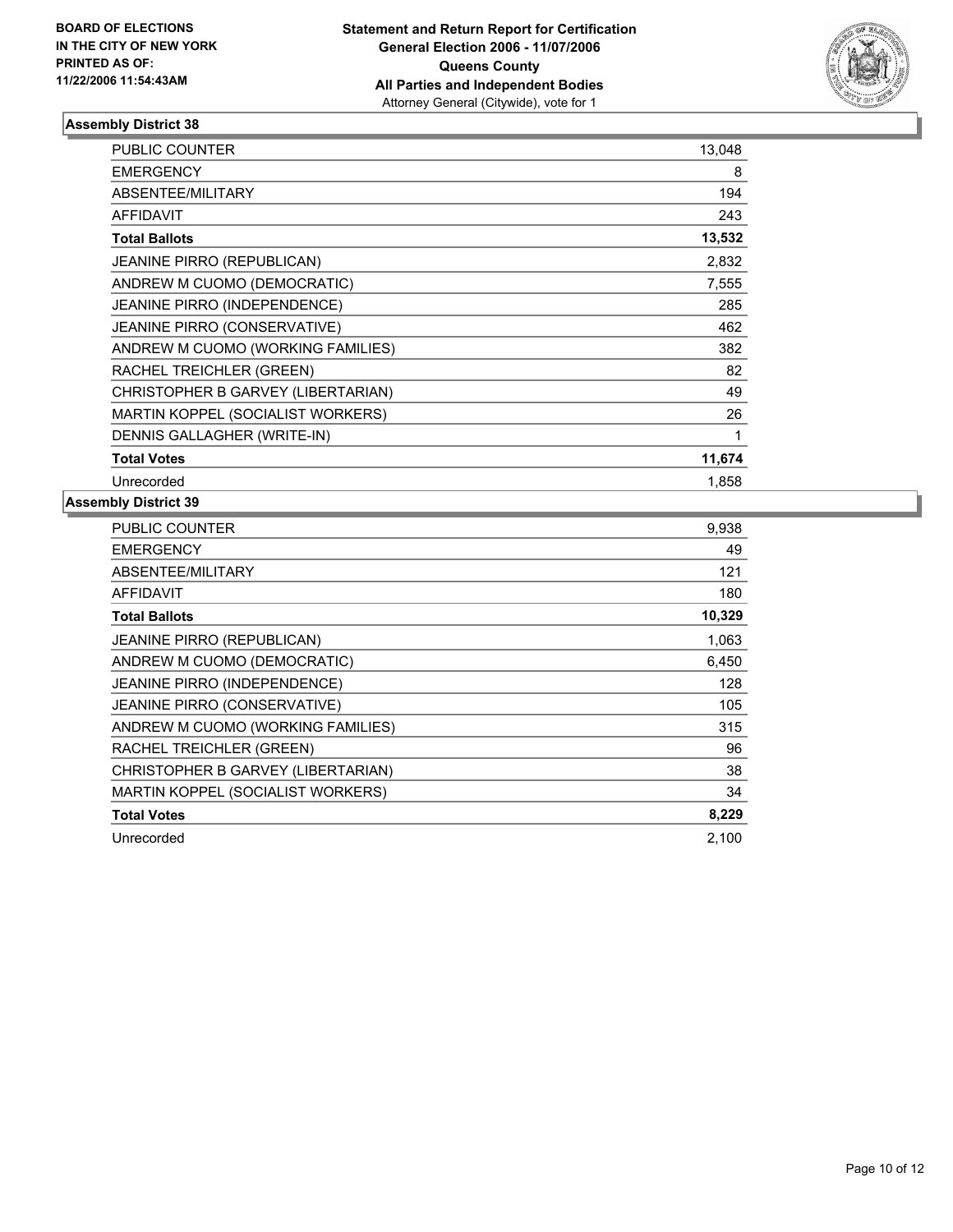

| PUBLIC COUNTER                      | 13,048 |
|-------------------------------------|--------|
| <b>EMERGENCY</b>                    | 8      |
| ABSENTEE/MILITARY                   | 194    |
| <b>AFFIDAVIT</b>                    | 243    |
| <b>Total Ballots</b>                | 13,532 |
| <b>JEANINE PIRRO (REPUBLICAN)</b>   | 2,832  |
| ANDREW M CUOMO (DEMOCRATIC)         | 7,555  |
| JEANINE PIRRO (INDEPENDENCE)        | 285    |
| <b>JEANINE PIRRO (CONSERVATIVE)</b> | 462    |
| ANDREW M CUOMO (WORKING FAMILIES)   | 382    |
| RACHEL TREICHLER (GREEN)            | 82     |
| CHRISTOPHER B GARVEY (LIBERTARIAN)  | 49     |
| MARTIN KOPPEL (SOCIALIST WORKERS)   | 26     |
| DENNIS GALLAGHER (WRITE-IN)         |        |
| <b>Total Votes</b>                  | 11,674 |
| Unrecorded                          | 1,858  |

| PUBLIC COUNTER                      | 9,938  |
|-------------------------------------|--------|
| <b>EMERGENCY</b>                    | 49     |
| ABSENTEE/MILITARY                   | 121    |
| <b>AFFIDAVIT</b>                    | 180    |
| <b>Total Ballots</b>                | 10,329 |
| JEANINE PIRRO (REPUBLICAN)          | 1,063  |
| ANDREW M CUOMO (DEMOCRATIC)         | 6,450  |
| JEANINE PIRRO (INDEPENDENCE)        | 128    |
| <b>JEANINE PIRRO (CONSERVATIVE)</b> | 105    |
| ANDREW M CUOMO (WORKING FAMILIES)   | 315    |
| RACHEL TREICHLER (GREEN)            | 96     |
| CHRISTOPHER B GARVEY (LIBERTARIAN)  | 38     |
| MARTIN KOPPEL (SOCIALIST WORKERS)   | 34     |
| <b>Total Votes</b>                  | 8,229  |
| Unrecorded                          | 2,100  |
|                                     |        |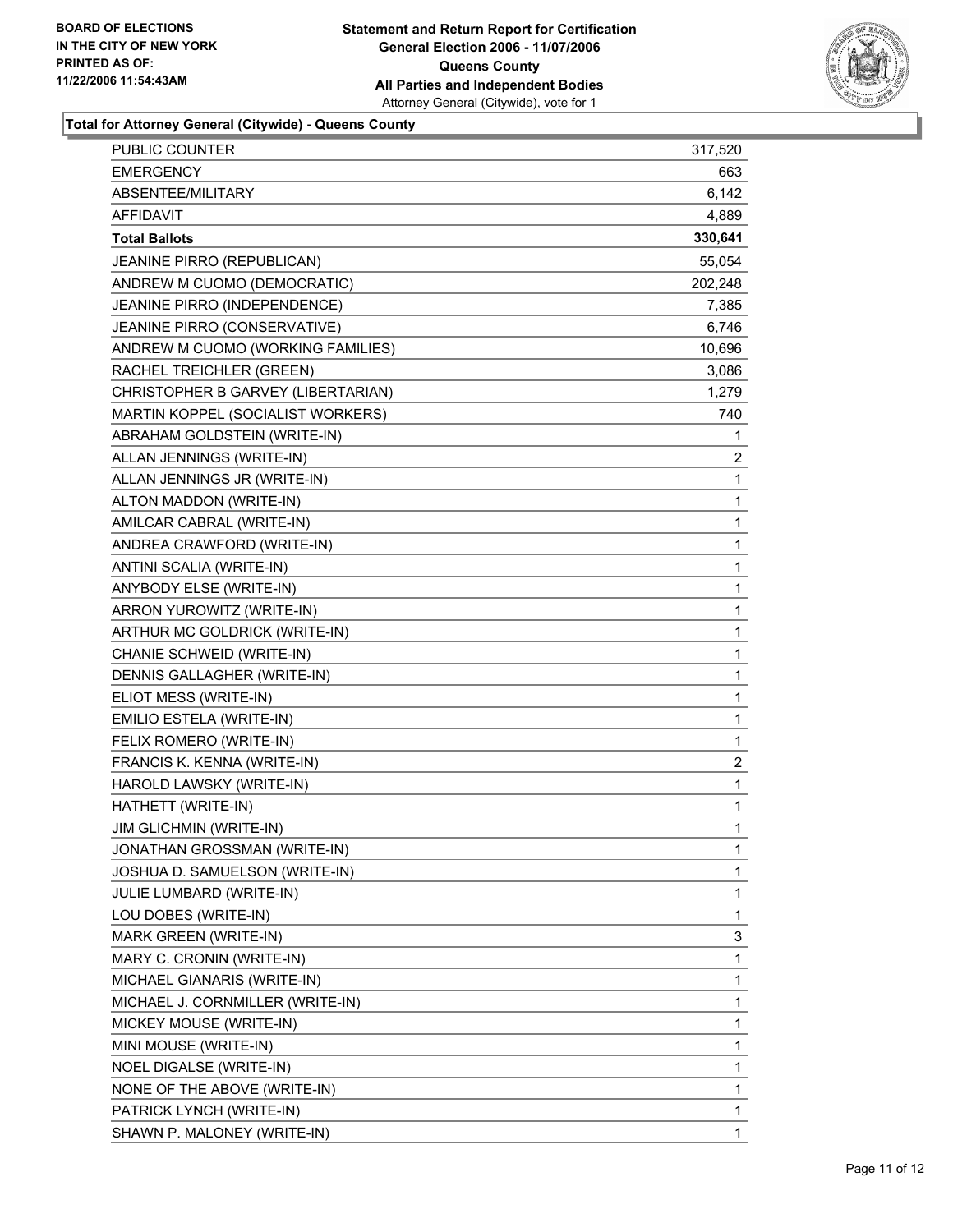

**Total for Attorney General (Citywide) - Queens County**

| <b>PUBLIC COUNTER</b>              | 317,520                 |  |
|------------------------------------|-------------------------|--|
| <b>EMERGENCY</b>                   | 663                     |  |
| ABSENTEE/MILITARY                  | 6,142                   |  |
| AFFIDAVIT                          | 4,889                   |  |
| <b>Total Ballots</b>               | 330,641                 |  |
| JEANINE PIRRO (REPUBLICAN)         | 55,054                  |  |
| ANDREW M CUOMO (DEMOCRATIC)        | 202,248                 |  |
| JEANINE PIRRO (INDEPENDENCE)       | 7,385                   |  |
| JEANINE PIRRO (CONSERVATIVE)       | 6,746                   |  |
| ANDREW M CUOMO (WORKING FAMILIES)  | 10,696                  |  |
| RACHEL TREICHLER (GREEN)           | 3,086                   |  |
| CHRISTOPHER B GARVEY (LIBERTARIAN) | 1,279                   |  |
| MARTIN KOPPEL (SOCIALIST WORKERS)  | 740                     |  |
| ABRAHAM GOLDSTEIN (WRITE-IN)       | 1                       |  |
| ALLAN JENNINGS (WRITE-IN)          | $\overline{\mathbf{c}}$ |  |
| ALLAN JENNINGS JR (WRITE-IN)       | 1                       |  |
| ALTON MADDON (WRITE-IN)            | 1                       |  |
| AMILCAR CABRAL (WRITE-IN)          | 1                       |  |
| ANDREA CRAWFORD (WRITE-IN)         | 1                       |  |
| ANTINI SCALIA (WRITE-IN)           | 1                       |  |
| ANYBODY ELSE (WRITE-IN)            | 1                       |  |
| ARRON YUROWITZ (WRITE-IN)          | 1                       |  |
| ARTHUR MC GOLDRICK (WRITE-IN)      | 1                       |  |
| CHANIE SCHWEID (WRITE-IN)          | 1                       |  |
| DENNIS GALLAGHER (WRITE-IN)        | 1                       |  |
| ELIOT MESS (WRITE-IN)              | 1                       |  |
| EMILIO ESTELA (WRITE-IN)           | $\mathbf 1$             |  |
| FELIX ROMERO (WRITE-IN)            | 1                       |  |
| FRANCIS K. KENNA (WRITE-IN)        | $\overline{c}$          |  |
| HAROLD LAWSKY (WRITE-IN)           | $\mathbf 1$             |  |
| HATHETT (WRITE-IN)                 | 1                       |  |
| <b>JIM GLICHMIN (WRITE-IN)</b>     | 1                       |  |
| JONATHAN GROSSMAN (WRITE-IN)       | 1                       |  |
| JOSHUA D. SAMUELSON (WRITE-IN)     | 1                       |  |
| JULIE LUMBARD (WRITE-IN)           | 1                       |  |
| LOU DOBES (WRITE-IN)               | 1                       |  |
| MARK GREEN (WRITE-IN)              | 3                       |  |
| MARY C. CRONIN (WRITE-IN)          | 1                       |  |
| MICHAEL GIANARIS (WRITE-IN)        | 1                       |  |
| MICHAEL J. CORNMILLER (WRITE-IN)   | 1                       |  |
| MICKEY MOUSE (WRITE-IN)            | 1                       |  |
| MINI MOUSE (WRITE-IN)              | 1                       |  |
| NOEL DIGALSE (WRITE-IN)            | 1                       |  |
| NONE OF THE ABOVE (WRITE-IN)       | 1                       |  |
| PATRICK LYNCH (WRITE-IN)           | 1                       |  |
| SHAWN P. MALONEY (WRITE-IN)        | 1                       |  |